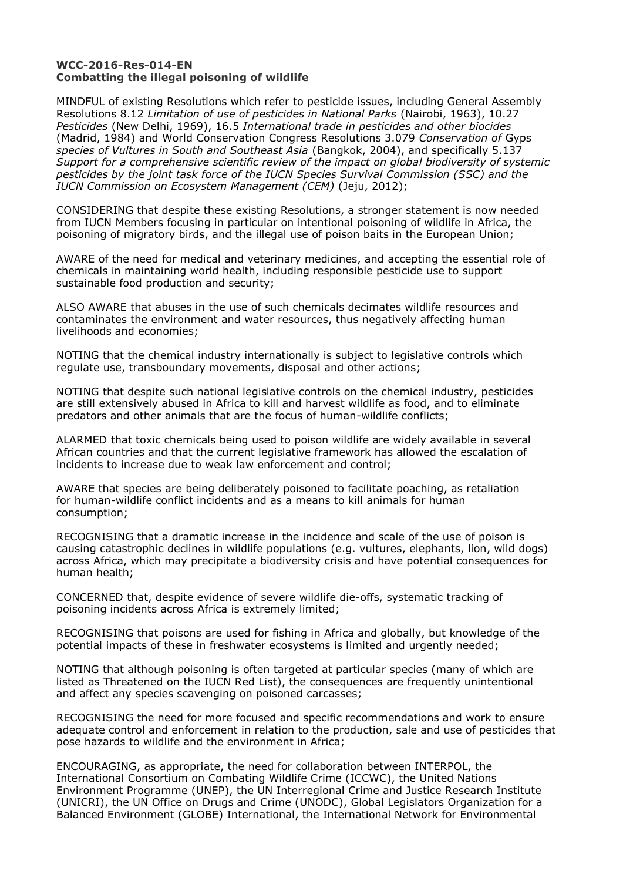## **WCC-2016-Res-014-EN Combatting the illegal poisoning of wildlife**

MINDFUL of existing Resolutions which refer to pesticide issues, including General Assembly Resolutions 8.12 *Limitation of use of pesticides in National Parks* (Nairobi, 1963), 10.27 *Pesticides* (New Delhi, 1969), 16.5 *International trade in pesticides and other biocides*  (Madrid, 1984) and World Conservation Congress Resolutions 3.079 *Conservation of* Gyps *species of Vultures in South and Southeast Asia* (Bangkok, 2004), and specifically 5.137 *Support for a comprehensive scientific review of the impact on global biodiversity of systemic pesticides by the joint task force of the IUCN Species Survival Commission (SSC) and the IUCN Commission on Ecosystem Management (CEM)* (Jeju, 2012);

CONSIDERING that despite these existing Resolutions, a stronger statement is now needed from IUCN Members focusing in particular on intentional poisoning of wildlife in Africa, the poisoning of migratory birds, and the illegal use of poison baits in the European Union;

AWARE of the need for medical and veterinary medicines, and accepting the essential role of chemicals in maintaining world health, including responsible pesticide use to support sustainable food production and security;

ALSO AWARE that abuses in the use of such chemicals decimates wildlife resources and contaminates the environment and water resources, thus negatively affecting human livelihoods and economies;

NOTING that the chemical industry internationally is subject to legislative controls which regulate use, transboundary movements, disposal and other actions;

NOTING that despite such national legislative controls on the chemical industry, pesticides are still extensively abused in Africa to kill and harvest wildlife as food, and to eliminate predators and other animals that are the focus of human-wildlife conflicts;

ALARMED that toxic chemicals being used to poison wildlife are widely available in several African countries and that the current legislative framework has allowed the escalation of incidents to increase due to weak law enforcement and control;

AWARE that species are being deliberately poisoned to facilitate poaching, as retaliation for human-wildlife conflict incidents and as a means to kill animals for human consumption;

RECOGNISING that a dramatic increase in the incidence and scale of the use of poison is causing catastrophic declines in wildlife populations (e.g. vultures, elephants, lion, wild dogs) across Africa, which may precipitate a biodiversity crisis and have potential consequences for human health;

CONCERNED that, despite evidence of severe wildlife die-offs, systematic tracking of poisoning incidents across Africa is extremely limited;

RECOGNISING that poisons are used for fishing in Africa and globally, but knowledge of the potential impacts of these in freshwater ecosystems is limited and urgently needed;

NOTING that although poisoning is often targeted at particular species (many of which are listed as Threatened on the IUCN Red List), the consequences are frequently unintentional and affect any species scavenging on poisoned carcasses;

RECOGNISING the need for more focused and specific recommendations and work to ensure adequate control and enforcement in relation to the production, sale and use of pesticides that pose hazards to wildlife and the environment in Africa;

ENCOURAGING, as appropriate, the need for collaboration between INTERPOL, the International Consortium on Combating Wildlife Crime (ICCWC), the United Nations Environment Programme (UNEP), the UN Interregional Crime and Justice Research Institute (UNICRI), the UN Office on Drugs and Crime (UNODC), Global Legislators Organization for a Balanced Environment (GLOBE) International, the International Network for Environmental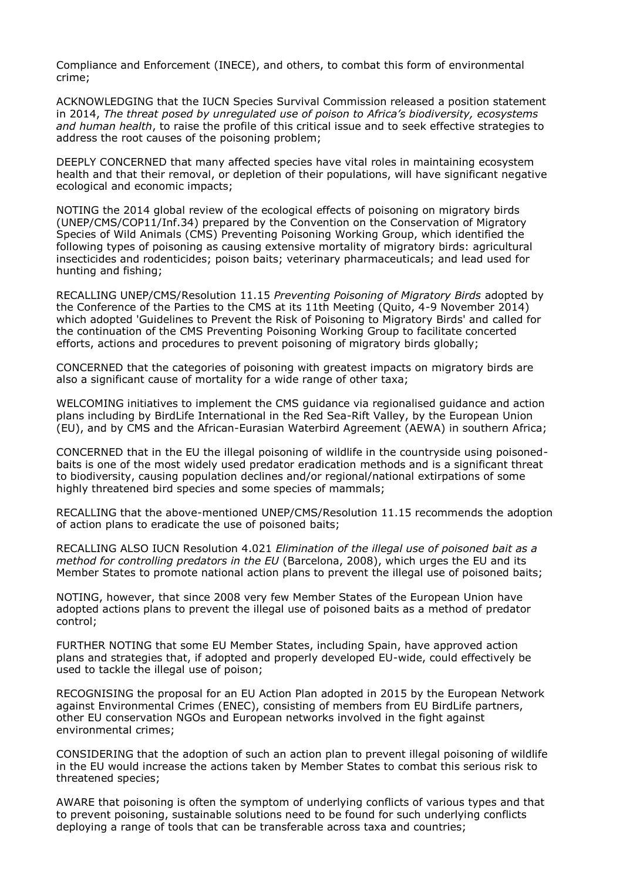Compliance and Enforcement (INECE), and others, to combat this form of environmental crime;

ACKNOWLEDGING that the IUCN Species Survival Commission released a position statement in 2014, *The threat posed by unregulated use of poison to Africa's biodiversity, ecosystems and human health*, to raise the profile of this critical issue and to seek effective strategies to address the root causes of the poisoning problem;

DEEPLY CONCERNED that many affected species have vital roles in maintaining ecosystem health and that their removal, or depletion of their populations, will have significant negative ecological and economic impacts;

NOTING the 2014 global review of the ecological effects of poisoning on migratory birds (UNEP/CMS/COP11/Inf.34) prepared by the Convention on the Conservation of Migratory Species of Wild Animals (CMS) Preventing Poisoning Working Group, which identified the following types of poisoning as causing extensive mortality of migratory birds: agricultural insecticides and rodenticides; poison baits; veterinary pharmaceuticals; and lead used for hunting and fishing;

RECALLING UNEP/CMS/Resolution 11.15 *Preventing Poisoning of Migratory Birds* adopted by the Conference of the Parties to the CMS at its 11th Meeting (Quito, 4-9 November 2014) which adopted 'Guidelines to Prevent the Risk of Poisoning to Migratory Birds' and called for the continuation of the CMS Preventing Poisoning Working Group to facilitate concerted efforts, actions and procedures to prevent poisoning of migratory birds globally;

CONCERNED that the categories of poisoning with greatest impacts on migratory birds are also a significant cause of mortality for a wide range of other taxa;

WELCOMING initiatives to implement the CMS guidance via regionalised guidance and action plans including by BirdLife International in the Red Sea-Rift Valley, by the European Union (EU), and by CMS and the African-Eurasian Waterbird Agreement (AEWA) in southern Africa;

CONCERNED that in the EU the illegal poisoning of wildlife in the countryside using poisonedbaits is one of the most widely used predator eradication methods and is a significant threat to biodiversity, causing population declines and/or regional/national extirpations of some highly threatened bird species and some species of mammals;

RECALLING that the above-mentioned UNEP/CMS/Resolution 11.15 recommends the adoption of action plans to eradicate the use of poisoned baits;

RECALLING ALSO IUCN Resolution 4.021 *Elimination of the illegal use of poisoned bait as a method for controlling predators in the EU* (Barcelona, 2008), which urges the EU and its Member States to promote national action plans to prevent the illegal use of poisoned baits;

NOTING, however, that since 2008 very few Member States of the European Union have adopted actions plans to prevent the illegal use of poisoned baits as a method of predator control;

FURTHER NOTING that some EU Member States, including Spain, have approved action plans and strategies that, if adopted and properly developed EU-wide, could effectively be used to tackle the illegal use of poison;

RECOGNISING the proposal for an EU Action Plan adopted in 2015 by the European Network against Environmental Crimes (ENEC), consisting of members from EU BirdLife partners, other EU conservation NGOs and European networks involved in the fight against environmental crimes;

CONSIDERING that the adoption of such an action plan to prevent illegal poisoning of wildlife in the EU would increase the actions taken by Member States to combat this serious risk to threatened species;

AWARE that poisoning is often the symptom of underlying conflicts of various types and that to prevent poisoning, sustainable solutions need to be found for such underlying conflicts deploying a range of tools that can be transferable across taxa and countries;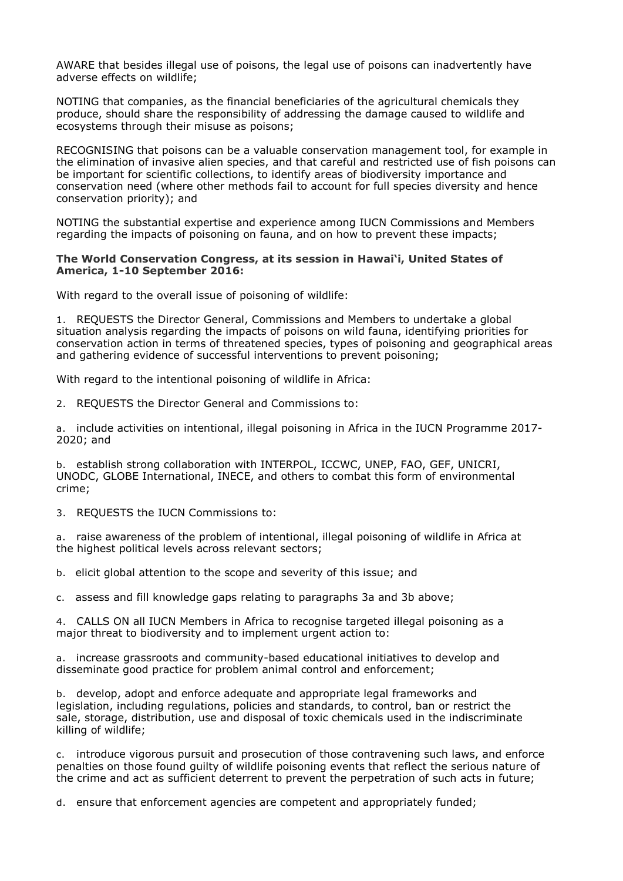AWARE that besides illegal use of poisons, the legal use of poisons can inadvertently have adverse effects on wildlife;

NOTING that companies, as the financial beneficiaries of the agricultural chemicals they produce, should share the responsibility of addressing the damage caused to wildlife and ecosystems through their misuse as poisons;

RECOGNISING that poisons can be a valuable conservation management tool, for example in the elimination of invasive alien species, and that careful and restricted use of fish poisons can be important for scientific collections, to identify areas of biodiversity importance and conservation need (where other methods fail to account for full species diversity and hence conservation priority); and

NOTING the substantial expertise and experience among IUCN Commissions and Members regarding the impacts of poisoning on fauna, and on how to prevent these impacts;

## **The World Conservation Congress, at its session in Hawai'i, United States of America, 1-10 September 2016:**

With regard to the overall issue of poisoning of wildlife:

1. REQUESTS the Director General, Commissions and Members to undertake a global situation analysis regarding the impacts of poisons on wild fauna, identifying priorities for conservation action in terms of threatened species, types of poisoning and geographical areas and gathering evidence of successful interventions to prevent poisoning;

With regard to the intentional poisoning of wildlife in Africa:

2. REQUESTS the Director General and Commissions to:

a. include activities on intentional, illegal poisoning in Africa in the IUCN Programme 2017- 2020; and

b. establish strong collaboration with INTERPOL, ICCWC, UNEP, FAO, GEF, UNICRI, UNODC, GLOBE International, INECE, and others to combat this form of environmental crime;

3. REQUESTS the IUCN Commissions to:

a. raise awareness of the problem of intentional, illegal poisoning of wildlife in Africa at the highest political levels across relevant sectors;

b. elicit global attention to the scope and severity of this issue; and

c. assess and fill knowledge gaps relating to paragraphs 3a and 3b above;

4. CALLS ON all IUCN Members in Africa to recognise targeted illegal poisoning as a major threat to biodiversity and to implement urgent action to:

a. increase grassroots and community-based educational initiatives to develop and disseminate good practice for problem animal control and enforcement;

b. develop, adopt and enforce adequate and appropriate legal frameworks and legislation, including regulations, policies and standards, to control, ban or restrict the sale, storage, distribution, use and disposal of toxic chemicals used in the indiscriminate killing of wildlife;

c. introduce vigorous pursuit and prosecution of those contravening such laws, and enforce penalties on those found guilty of wildlife poisoning events that reflect the serious nature of the crime and act as sufficient deterrent to prevent the perpetration of such acts in future;

d. ensure that enforcement agencies are competent and appropriately funded;